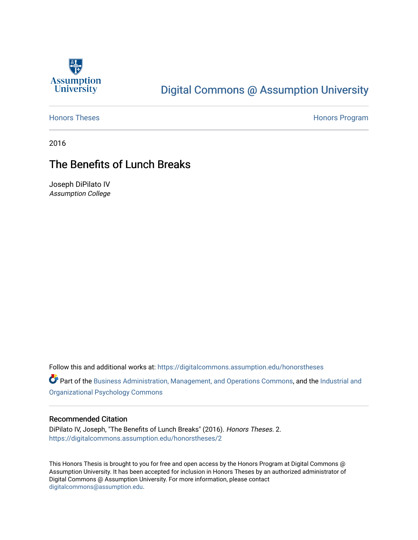

# [Digital Commons @ Assumption University](https://digitalcommons.assumption.edu/)

[Honors Theses](https://digitalcommons.assumption.edu/honorstheses) **Honors** Program

2016

## The Benefits of Lunch Breaks

Joseph DiPilato IV Assumption College

Follow this and additional works at: [https://digitalcommons.assumption.edu/honorstheses](https://digitalcommons.assumption.edu/honorstheses?utm_source=digitalcommons.assumption.edu%2Fhonorstheses%2F2&utm_medium=PDF&utm_campaign=PDFCoverPages)

Part of the [Business Administration, Management, and Operations Commons](http://network.bepress.com/hgg/discipline/623?utm_source=digitalcommons.assumption.edu%2Fhonorstheses%2F2&utm_medium=PDF&utm_campaign=PDFCoverPages), and the Industrial and [Organizational Psychology Commons](http://network.bepress.com/hgg/discipline/412?utm_source=digitalcommons.assumption.edu%2Fhonorstheses%2F2&utm_medium=PDF&utm_campaign=PDFCoverPages)

#### Recommended Citation

DiPilato IV, Joseph, "The Benefits of Lunch Breaks" (2016). Honors Theses. 2. [https://digitalcommons.assumption.edu/honorstheses/2](https://digitalcommons.assumption.edu/honorstheses/2?utm_source=digitalcommons.assumption.edu%2Fhonorstheses%2F2&utm_medium=PDF&utm_campaign=PDFCoverPages) 

This Honors Thesis is brought to you for free and open access by the Honors Program at Digital Commons @ Assumption University. It has been accepted for inclusion in Honors Theses by an authorized administrator of Digital Commons @ Assumption University. For more information, please contact [digitalcommons@assumption.edu](mailto:digitalcommons@assumption.edu).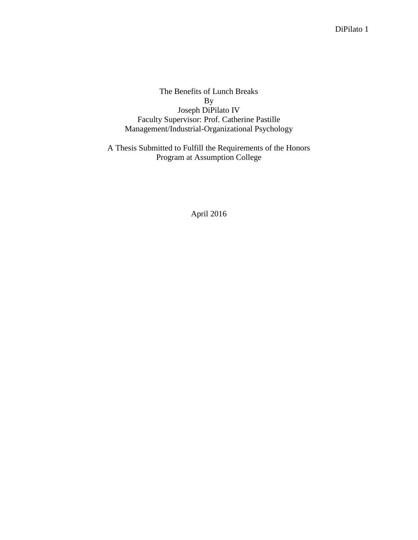The Benefits of Lunch Breaks By Joseph DiPilato IV Faculty Supervisor: Prof. Catherine Pastille Management/Industrial-Organizational Psychology

A Thesis Submitted to Fulfill the Requirements of the Honors Program at Assumption College

April 2016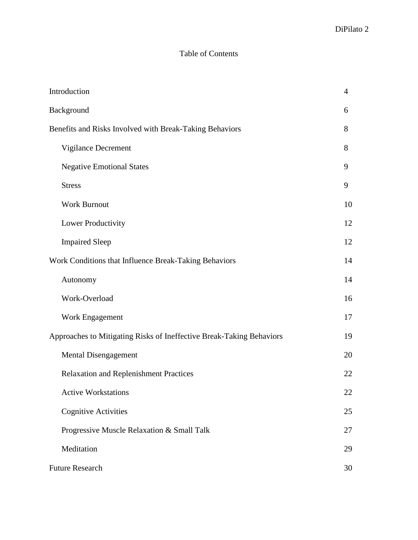## Table of Contents

| Introduction                                                         | $\overline{4}$ |
|----------------------------------------------------------------------|----------------|
| Background                                                           | 6              |
| Benefits and Risks Involved with Break-Taking Behaviors              | 8              |
| Vigilance Decrement                                                  | 8              |
| <b>Negative Emotional States</b>                                     | 9              |
| <b>Stress</b>                                                        | 9              |
| <b>Work Burnout</b>                                                  | 10             |
| Lower Productivity                                                   | 12             |
| <b>Impaired Sleep</b>                                                | 12             |
| Work Conditions that Influence Break-Taking Behaviors                | 14             |
| Autonomy                                                             | 14             |
| Work-Overload                                                        | 16             |
| Work Engagement                                                      | 17             |
| Approaches to Mitigating Risks of Ineffective Break-Taking Behaviors | 19             |
| <b>Mental Disengagement</b>                                          | 20             |
| <b>Relaxation and Replenishment Practices</b>                        | 22             |
| <b>Active Workstations</b>                                           | 22             |
| <b>Cognitive Activities</b>                                          | 25             |
| Progressive Muscle Relaxation & Small Talk                           | 27             |
| Meditation                                                           | 29             |
| <b>Future Research</b>                                               | 30             |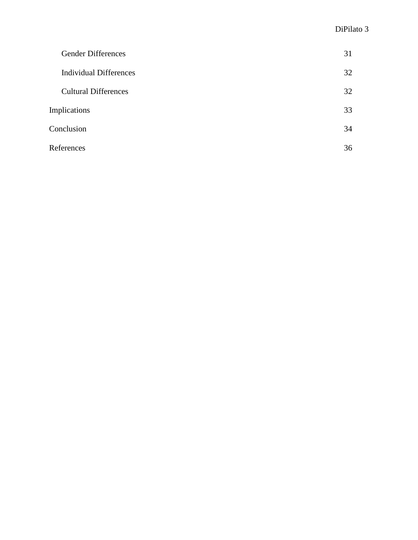| <b>Gender Differences</b>     | 31 |
|-------------------------------|----|
| <b>Individual Differences</b> | 32 |
| <b>Cultural Differences</b>   | 32 |
| <b>Implications</b>           | 33 |
| Conclusion                    | 34 |
| References                    | 36 |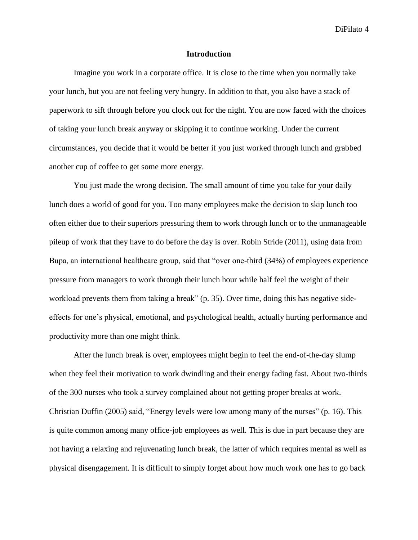#### **Introduction**

Imagine you work in a corporate office. It is close to the time when you normally take your lunch, but you are not feeling very hungry. In addition to that, you also have a stack of paperwork to sift through before you clock out for the night. You are now faced with the choices of taking your lunch break anyway or skipping it to continue working. Under the current circumstances, you decide that it would be better if you just worked through lunch and grabbed another cup of coffee to get some more energy.

You just made the wrong decision. The small amount of time you take for your daily lunch does a world of good for you. Too many employees make the decision to skip lunch too often either due to their superiors pressuring them to work through lunch or to the unmanageable pileup of work that they have to do before the day is over. Robin Stride (2011), using data from Bupa, an international healthcare group, said that "over one-third (34%) of employees experience pressure from managers to work through their lunch hour while half feel the weight of their workload prevents them from taking a break" (p. 35). Over time, doing this has negative sideeffects for one's physical, emotional, and psychological health, actually hurting performance and productivity more than one might think.

After the lunch break is over, employees might begin to feel the end-of-the-day slump when they feel their motivation to work dwindling and their energy fading fast. About two-thirds of the 300 nurses who took a survey complained about not getting proper breaks at work. Christian Duffin (2005) said, "Energy levels were low among many of the nurses" (p. 16). This is quite common among many office-job employees as well. This is due in part because they are not having a relaxing and rejuvenating lunch break, the latter of which requires mental as well as physical disengagement. It is difficult to simply forget about how much work one has to go back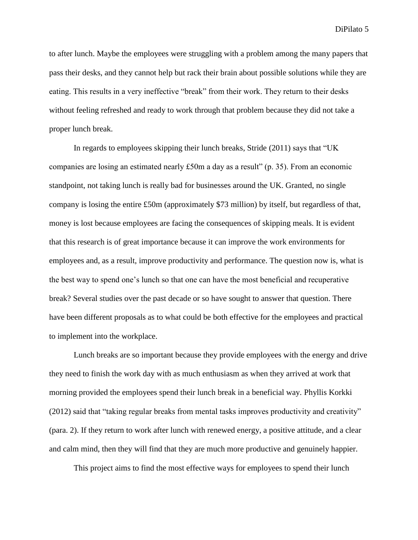to after lunch. Maybe the employees were struggling with a problem among the many papers that pass their desks, and they cannot help but rack their brain about possible solutions while they are eating. This results in a very ineffective "break" from their work. They return to their desks without feeling refreshed and ready to work through that problem because they did not take a proper lunch break.

In regards to employees skipping their lunch breaks, Stride (2011) says that "UK companies are losing an estimated nearly  $£50m$  a day as a result" (p. 35). From an economic standpoint, not taking lunch is really bad for businesses around the UK. Granted, no single company is losing the entire £50m (approximately \$73 million) by itself, but regardless of that, money is lost because employees are facing the consequences of skipping meals. It is evident that this research is of great importance because it can improve the work environments for employees and, as a result, improve productivity and performance. The question now is, what is the best way to spend one's lunch so that one can have the most beneficial and recuperative break? Several studies over the past decade or so have sought to answer that question. There have been different proposals as to what could be both effective for the employees and practical to implement into the workplace.

Lunch breaks are so important because they provide employees with the energy and drive they need to finish the work day with as much enthusiasm as when they arrived at work that morning provided the employees spend their lunch break in a beneficial way. Phyllis Korkki (2012) said that "taking regular breaks from mental tasks improves productivity and creativity" (para. 2). If they return to work after lunch with renewed energy, a positive attitude, and a clear and calm mind, then they will find that they are much more productive and genuinely happier.

This project aims to find the most effective ways for employees to spend their lunch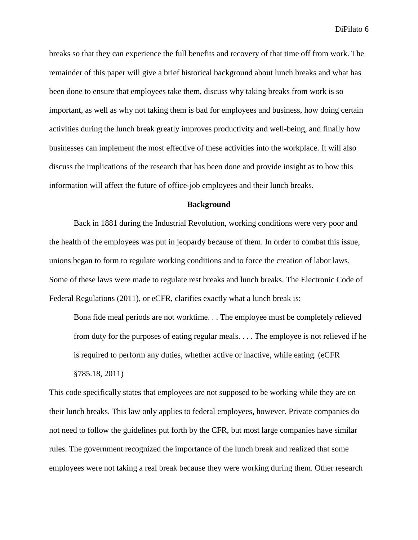breaks so that they can experience the full benefits and recovery of that time off from work. The remainder of this paper will give a brief historical background about lunch breaks and what has been done to ensure that employees take them, discuss why taking breaks from work is so important, as well as why not taking them is bad for employees and business, how doing certain activities during the lunch break greatly improves productivity and well-being, and finally how businesses can implement the most effective of these activities into the workplace. It will also discuss the implications of the research that has been done and provide insight as to how this information will affect the future of office-job employees and their lunch breaks.

#### **Background**

Back in 1881 during the Industrial Revolution, working conditions were very poor and the health of the employees was put in jeopardy because of them. In order to combat this issue, unions began to form to regulate working conditions and to force the creation of labor laws. Some of these laws were made to regulate rest breaks and lunch breaks. The Electronic Code of Federal Regulations (2011), or eCFR, clarifies exactly what a lunch break is:

Bona fide meal periods are not worktime. . . The employee must be completely relieved from duty for the purposes of eating regular meals. . . . The employee is not relieved if he is required to perform any duties, whether active or inactive, while eating. (eCFR §785.18, 2011)

This code specifically states that employees are not supposed to be working while they are on their lunch breaks. This law only applies to federal employees, however. Private companies do not need to follow the guidelines put forth by the CFR, but most large companies have similar rules. The government recognized the importance of the lunch break and realized that some employees were not taking a real break because they were working during them. Other research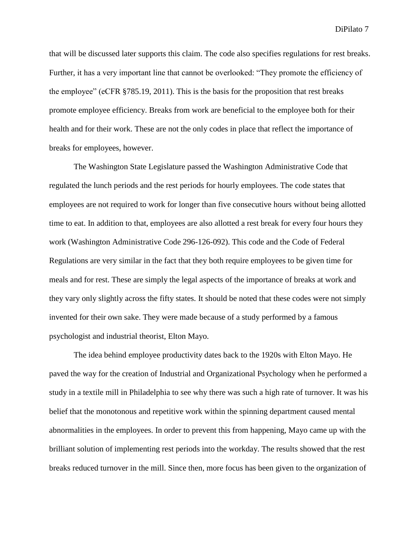that will be discussed later supports this claim. The code also specifies regulations for rest breaks. Further, it has a very important line that cannot be overlooked: "They promote the efficiency of the employee" (eCFR §785.19, 2011). This is the basis for the proposition that rest breaks promote employee efficiency. Breaks from work are beneficial to the employee both for their health and for their work. These are not the only codes in place that reflect the importance of breaks for employees, however.

The Washington State Legislature passed the Washington Administrative Code that regulated the lunch periods and the rest periods for hourly employees. The code states that employees are not required to work for longer than five consecutive hours without being allotted time to eat. In addition to that, employees are also allotted a rest break for every four hours they work (Washington Administrative Code 296-126-092). This code and the Code of Federal Regulations are very similar in the fact that they both require employees to be given time for meals and for rest. These are simply the legal aspects of the importance of breaks at work and they vary only slightly across the fifty states. It should be noted that these codes were not simply invented for their own sake. They were made because of a study performed by a famous psychologist and industrial theorist, Elton Mayo.

The idea behind employee productivity dates back to the 1920s with Elton Mayo. He paved the way for the creation of Industrial and Organizational Psychology when he performed a study in a textile mill in Philadelphia to see why there was such a high rate of turnover. It was his belief that the monotonous and repetitive work within the spinning department caused mental abnormalities in the employees. In order to prevent this from happening, Mayo came up with the brilliant solution of implementing rest periods into the workday. The results showed that the rest breaks reduced turnover in the mill. Since then, more focus has been given to the organization of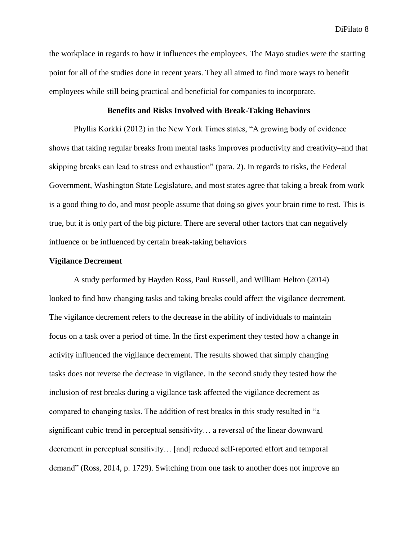the workplace in regards to how it influences the employees. The Mayo studies were the starting point for all of the studies done in recent years. They all aimed to find more ways to benefit employees while still being practical and beneficial for companies to incorporate.

#### **Benefits and Risks Involved with Break-Taking Behaviors**

Phyllis Korkki (2012) in the New York Times states, "A growing body of evidence shows that taking regular breaks from mental tasks improves productivity and creativity–and that skipping breaks can lead to stress and exhaustion" (para. 2). In regards to risks, the Federal Government, Washington State Legislature, and most states agree that taking a break from work is a good thing to do, and most people assume that doing so gives your brain time to rest. This is true, but it is only part of the big picture. There are several other factors that can negatively influence or be influenced by certain break-taking behaviors

#### **Vigilance Decrement**

A study performed by Hayden Ross, Paul Russell, and William Helton (2014) looked to find how changing tasks and taking breaks could affect the vigilance decrement. The vigilance decrement refers to the decrease in the ability of individuals to maintain focus on a task over a period of time. In the first experiment they tested how a change in activity influenced the vigilance decrement. The results showed that simply changing tasks does not reverse the decrease in vigilance. In the second study they tested how the inclusion of rest breaks during a vigilance task affected the vigilance decrement as compared to changing tasks. The addition of rest breaks in this study resulted in "a significant cubic trend in perceptual sensitivity… a reversal of the linear downward decrement in perceptual sensitivity… [and] reduced self-reported effort and temporal demand" (Ross, 2014, p. 1729). Switching from one task to another does not improve an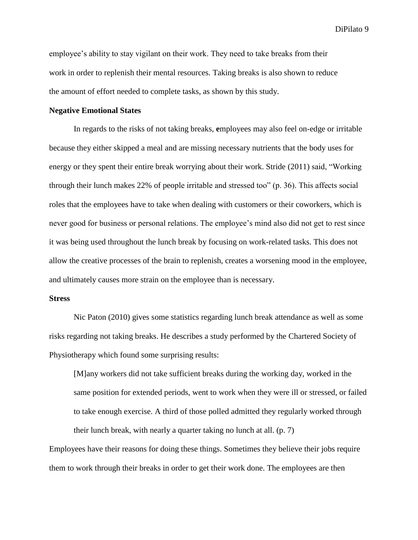employee's ability to stay vigilant on their work. They need to take breaks from their work in order to replenish their mental resources. Taking breaks is also shown to reduce the amount of effort needed to complete tasks, as shown by this study.

#### **Negative Emotional States**

In regards to the risks of not taking breaks, **e**mployees may also feel on-edge or irritable because they either skipped a meal and are missing necessary nutrients that the body uses for energy or they spent their entire break worrying about their work. Stride (2011) said, "Working through their lunch makes 22% of people irritable and stressed too" (p. 36). This affects social roles that the employees have to take when dealing with customers or their coworkers, which is never good for business or personal relations. The employee's mind also did not get to rest since it was being used throughout the lunch break by focusing on work-related tasks. This does not allow the creative processes of the brain to replenish, creates a worsening mood in the employee, and ultimately causes more strain on the employee than is necessary.

#### **Stress**

Nic Paton (2010) gives some statistics regarding lunch break attendance as well as some risks regarding not taking breaks. He describes a study performed by the Chartered Society of Physiotherapy which found some surprising results:

[M]any workers did not take sufficient breaks during the working day, worked in the same position for extended periods, went to work when they were ill or stressed, or failed to take enough exercise. A third of those polled admitted they regularly worked through their lunch break, with nearly a quarter taking no lunch at all. (p. 7)

Employees have their reasons for doing these things. Sometimes they believe their jobs require them to work through their breaks in order to get their work done. The employees are then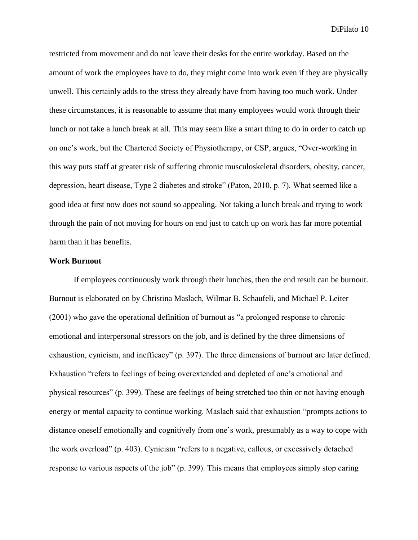restricted from movement and do not leave their desks for the entire workday. Based on the amount of work the employees have to do, they might come into work even if they are physically unwell. This certainly adds to the stress they already have from having too much work. Under these circumstances, it is reasonable to assume that many employees would work through their lunch or not take a lunch break at all. This may seem like a smart thing to do in order to catch up on one's work, but the Chartered Society of Physiotherapy, or CSP, argues, "Over-working in this way puts staff at greater risk of suffering chronic musculoskeletal disorders, obesity, cancer, depression, heart disease, Type 2 diabetes and stroke" (Paton, 2010, p. 7). What seemed like a good idea at first now does not sound so appealing. Not taking a lunch break and trying to work through the pain of not moving for hours on end just to catch up on work has far more potential harm than it has benefits.

#### **Work Burnout**

If employees continuously work through their lunches, then the end result can be burnout. Burnout is elaborated on by Christina Maslach, Wilmar B. Schaufeli, and Michael P. Leiter (2001) who gave the operational definition of burnout as "a prolonged response to chronic emotional and interpersonal stressors on the job, and is defined by the three dimensions of exhaustion, cynicism, and inefficacy" (p. 397). The three dimensions of burnout are later defined. Exhaustion "refers to feelings of being overextended and depleted of one's emotional and physical resources" (p. 399). These are feelings of being stretched too thin or not having enough energy or mental capacity to continue working. Maslach said that exhaustion "prompts actions to distance oneself emotionally and cognitively from one's work, presumably as a way to cope with the work overload" (p. 403). Cynicism "refers to a negative, callous, or excessively detached response to various aspects of the job" (p. 399). This means that employees simply stop caring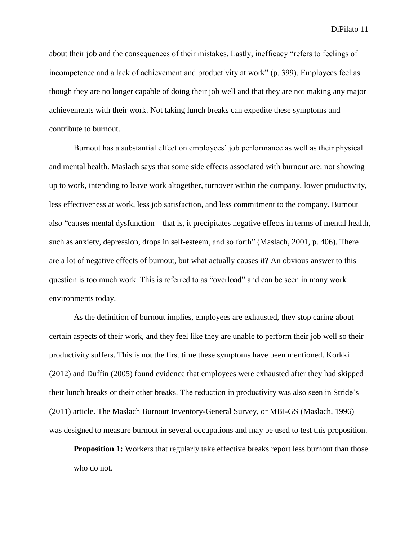about their job and the consequences of their mistakes. Lastly, inefficacy "refers to feelings of incompetence and a lack of achievement and productivity at work" (p. 399). Employees feel as though they are no longer capable of doing their job well and that they are not making any major achievements with their work. Not taking lunch breaks can expedite these symptoms and contribute to burnout.

Burnout has a substantial effect on employees' job performance as well as their physical and mental health. Maslach says that some side effects associated with burnout are: not showing up to work, intending to leave work altogether, turnover within the company, lower productivity, less effectiveness at work, less job satisfaction, and less commitment to the company. Burnout also "causes mental dysfunction—that is, it precipitates negative effects in terms of mental health, such as anxiety, depression, drops in self-esteem, and so forth" (Maslach, 2001, p. 406). There are a lot of negative effects of burnout, but what actually causes it? An obvious answer to this question is too much work. This is referred to as "overload" and can be seen in many work environments today.

As the definition of burnout implies, employees are exhausted, they stop caring about certain aspects of their work, and they feel like they are unable to perform their job well so their productivity suffers. This is not the first time these symptoms have been mentioned. Korkki (2012) and Duffin (2005) found evidence that employees were exhausted after they had skipped their lunch breaks or their other breaks. The reduction in productivity was also seen in Stride's (2011) article. The Maslach Burnout Inventory-General Survey, or MBI-GS (Maslach, 1996) was designed to measure burnout in several occupations and may be used to test this proposition.

**Proposition 1:** Workers that regularly take effective breaks report less burnout than those who do not.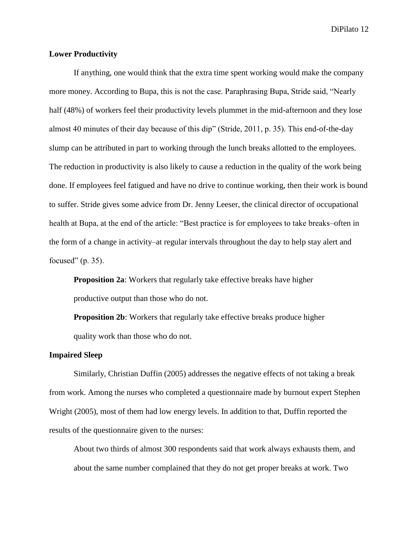#### **Lower Productivity**

If anything, one would think that the extra time spent working would make the company more money. According to Bupa, this is not the case. Paraphrasing Bupa, Stride said, "Nearly half (48%) of workers feel their productivity levels plummet in the mid-afternoon and they lose almost 40 minutes of their day because of this dip" (Stride, 2011, p. 35). This end-of-the-day slump can be attributed in part to working through the lunch breaks allotted to the employees. The reduction in productivity is also likely to cause a reduction in the quality of the work being done. If employees feel fatigued and have no drive to continue working, then their work is bound to suffer. Stride gives some advice from Dr. Jenny Leeser, the clinical director of occupational health at Bupa, at the end of the article: "Best practice is for employees to take breaks–often in the form of a change in activity–at regular intervals throughout the day to help stay alert and focused"  $(p. 35)$ .

**Proposition 2a**: Workers that regularly take effective breaks have higher productive output than those who do not.

**Proposition 2b:** Workers that regularly take effective breaks produce higher quality work than those who do not.

#### **Impaired Sleep**

Similarly, Christian Duffin (2005) addresses the negative effects of not taking a break from work. Among the nurses who completed a questionnaire made by burnout expert Stephen Wright (2005), most of them had low energy levels. In addition to that, Duffin reported the results of the questionnaire given to the nurses:

About two thirds of almost 300 respondents said that work always exhausts them, and about the same number complained that they do not get proper breaks at work. Two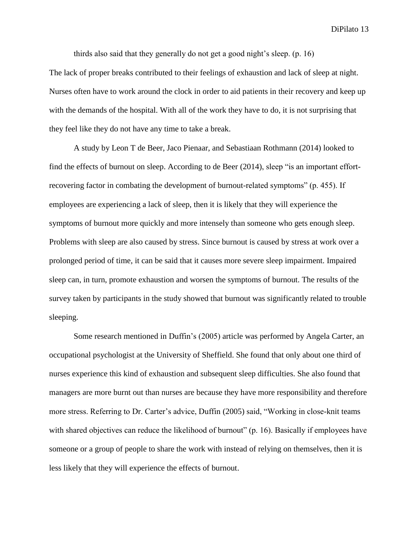thirds also said that they generally do not get a good night's sleep. (p. 16)

The lack of proper breaks contributed to their feelings of exhaustion and lack of sleep at night. Nurses often have to work around the clock in order to aid patients in their recovery and keep up with the demands of the hospital. With all of the work they have to do, it is not surprising that they feel like they do not have any time to take a break.

A study by Leon T de Beer, Jaco Pienaar, and Sebastiaan Rothmann (2014) looked to find the effects of burnout on sleep. According to de Beer (2014), sleep "is an important effortrecovering factor in combating the development of burnout-related symptoms" (p. 455). If employees are experiencing a lack of sleep, then it is likely that they will experience the symptoms of burnout more quickly and more intensely than someone who gets enough sleep. Problems with sleep are also caused by stress. Since burnout is caused by stress at work over a prolonged period of time, it can be said that it causes more severe sleep impairment. Impaired sleep can, in turn, promote exhaustion and worsen the symptoms of burnout. The results of the survey taken by participants in the study showed that burnout was significantly related to trouble sleeping.

Some research mentioned in Duffin's (2005) article was performed by Angela Carter, an occupational psychologist at the University of Sheffield. She found that only about one third of nurses experience this kind of exhaustion and subsequent sleep difficulties. She also found that managers are more burnt out than nurses are because they have more responsibility and therefore more stress. Referring to Dr. Carter's advice, Duffin (2005) said, "Working in close-knit teams with shared objectives can reduce the likelihood of burnout" (p. 16). Basically if employees have someone or a group of people to share the work with instead of relying on themselves, then it is less likely that they will experience the effects of burnout.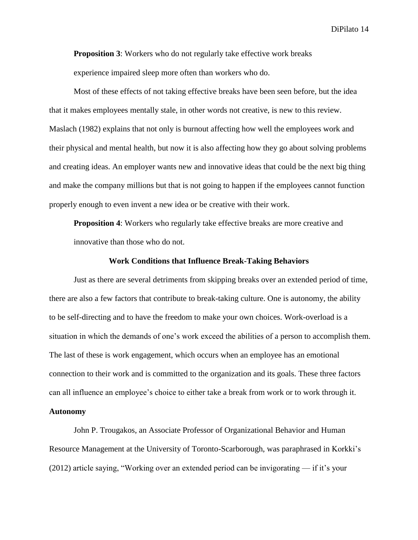**Proposition 3**: Workers who do not regularly take effective work breaks experience impaired sleep more often than workers who do.

Most of these effects of not taking effective breaks have been seen before, but the idea that it makes employees mentally stale, in other words not creative, is new to this review. Maslach (1982) explains that not only is burnout affecting how well the employees work and their physical and mental health, but now it is also affecting how they go about solving problems and creating ideas. An employer wants new and innovative ideas that could be the next big thing and make the company millions but that is not going to happen if the employees cannot function properly enough to even invent a new idea or be creative with their work.

**Proposition 4**: Workers who regularly take effective breaks are more creative and innovative than those who do not.

#### **Work Conditions that Influence Break-Taking Behaviors**

Just as there are several detriments from skipping breaks over an extended period of time, there are also a few factors that contribute to break-taking culture. One is autonomy, the ability to be self-directing and to have the freedom to make your own choices. Work-overload is a situation in which the demands of one's work exceed the abilities of a person to accomplish them. The last of these is work engagement, which occurs when an employee has an emotional connection to their work and is committed to the organization and its goals. These three factors can all influence an employee's choice to either take a break from work or to work through it. **Autonomy**

John P. Trougakos, an Associate Professor of Organizational Behavior and Human Resource Management at the University of Toronto-Scarborough, was paraphrased in Korkki's (2012) article saying, "Working over an extended period can be invigorating — if it's your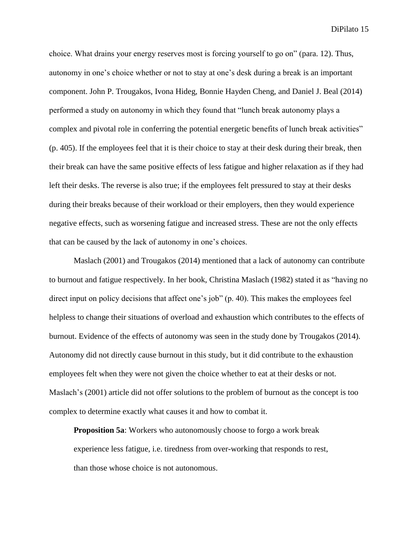choice. What drains your energy reserves most is forcing yourself to go on" (para. 12). Thus, autonomy in one's choice whether or not to stay at one's desk during a break is an important component. John P. Trougakos, Ivona Hideg, Bonnie Hayden Cheng, and Daniel J. Beal (2014) performed a study on autonomy in which they found that "lunch break autonomy plays a complex and pivotal role in conferring the potential energetic benefits of lunch break activities" (p. 405). If the employees feel that it is their choice to stay at their desk during their break, then their break can have the same positive effects of less fatigue and higher relaxation as if they had left their desks. The reverse is also true; if the employees felt pressured to stay at their desks during their breaks because of their workload or their employers, then they would experience negative effects, such as worsening fatigue and increased stress. These are not the only effects that can be caused by the lack of autonomy in one's choices.

Maslach (2001) and Trougakos (2014) mentioned that a lack of autonomy can contribute to burnout and fatigue respectively. In her book, Christina Maslach (1982) stated it as "having no direct input on policy decisions that affect one's job" (p. 40). This makes the employees feel helpless to change their situations of overload and exhaustion which contributes to the effects of burnout. Evidence of the effects of autonomy was seen in the study done by Trougakos (2014). Autonomy did not directly cause burnout in this study, but it did contribute to the exhaustion employees felt when they were not given the choice whether to eat at their desks or not. Maslach's (2001) article did not offer solutions to the problem of burnout as the concept is too complex to determine exactly what causes it and how to combat it.

**Proposition 5a**: Workers who autonomously choose to forgo a work break experience less fatigue, i.e. tiredness from over-working that responds to rest, than those whose choice is not autonomous.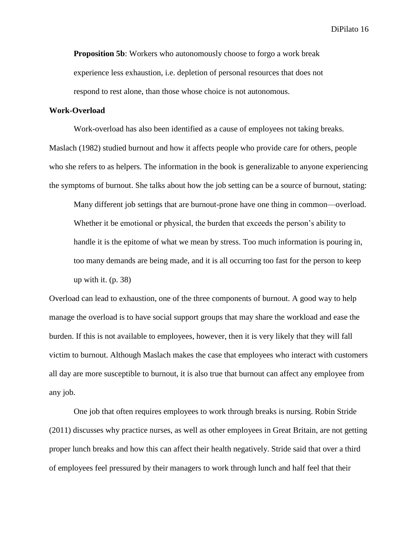**Proposition 5b**: Workers who autonomously choose to forgo a work break experience less exhaustion, i.e. depletion of personal resources that does not respond to rest alone, than those whose choice is not autonomous.

#### **Work-Overload**

Work-overload has also been identified as a cause of employees not taking breaks. Maslach (1982) studied burnout and how it affects people who provide care for others, people who she refers to as helpers. The information in the book is generalizable to anyone experiencing the symptoms of burnout. She talks about how the job setting can be a source of burnout, stating:

Many different job settings that are burnout-prone have one thing in common—overload. Whether it be emotional or physical, the burden that exceeds the person's ability to handle it is the epitome of what we mean by stress. Too much information is pouring in, too many demands are being made, and it is all occurring too fast for the person to keep up with it.  $(p. 38)$ 

Overload can lead to exhaustion, one of the three components of burnout. A good way to help manage the overload is to have social support groups that may share the workload and ease the burden. If this is not available to employees, however, then it is very likely that they will fall victim to burnout. Although Maslach makes the case that employees who interact with customers all day are more susceptible to burnout, it is also true that burnout can affect any employee from any job.

One job that often requires employees to work through breaks is nursing. Robin Stride (2011) discusses why practice nurses, as well as other employees in Great Britain, are not getting proper lunch breaks and how this can affect their health negatively. Stride said that over a third of employees feel pressured by their managers to work through lunch and half feel that their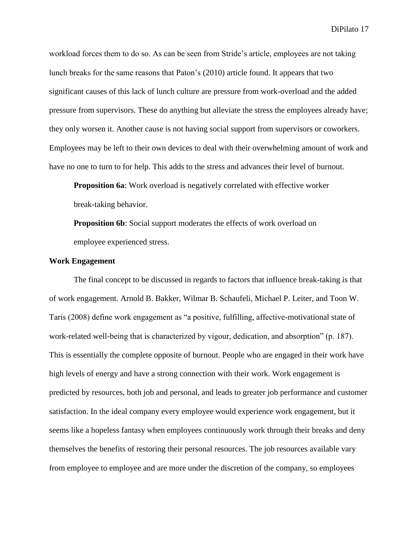workload forces them to do so. As can be seen from Stride's article, employees are not taking lunch breaks for the same reasons that Paton's (2010) article found. It appears that two significant causes of this lack of lunch culture are pressure from work-overload and the added pressure from supervisors. These do anything but alleviate the stress the employees already have; they only worsen it. Another cause is not having social support from supervisors or coworkers. Employees may be left to their own devices to deal with their overwhelming amount of work and have no one to turn to for help. This adds to the stress and advances their level of burnout.

**Proposition 6a**: Work overload is negatively correlated with effective worker break-taking behavior.

**Proposition 6b**: Social support moderates the effects of work overload on employee experienced stress.

#### **Work Engagement**

The final concept to be discussed in regards to factors that influence break-taking is that of work engagement. Arnold B. Bakker, Wilmar B. Schaufeli, Michael P. Leiter, and Toon W. Taris (2008) define work engagement as "a positive, fulfilling, affective-motivational state of work-related well-being that is characterized by vigour, dedication, and absorption" (p. 187). This is essentially the complete opposite of burnout. People who are engaged in their work have high levels of energy and have a strong connection with their work. Work engagement is predicted by resources, both job and personal, and leads to greater job performance and customer satisfaction. In the ideal company every employee would experience work engagement, but it seems like a hopeless fantasy when employees continuously work through their breaks and deny themselves the benefits of restoring their personal resources. The job resources available vary from employee to employee and are more under the discretion of the company, so employees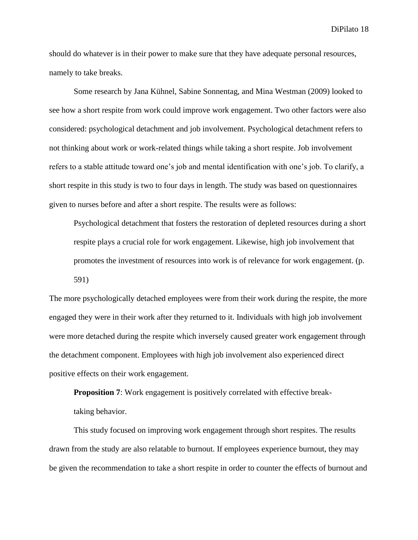should do whatever is in their power to make sure that they have adequate personal resources, namely to take breaks.

Some research by Jana Kühnel, Sabine Sonnentag, and Mina Westman (2009) looked to see how a short respite from work could improve work engagement. Two other factors were also considered: psychological detachment and job involvement. Psychological detachment refers to not thinking about work or work-related things while taking a short respite. Job involvement refers to a stable attitude toward one's job and mental identification with one's job. To clarify, a short respite in this study is two to four days in length. The study was based on questionnaires given to nurses before and after a short respite. The results were as follows:

Psychological detachment that fosters the restoration of depleted resources during a short respite plays a crucial role for work engagement. Likewise, high job involvement that promotes the investment of resources into work is of relevance for work engagement. (p. 591)

The more psychologically detached employees were from their work during the respite, the more engaged they were in their work after they returned to it. Individuals with high job involvement were more detached during the respite which inversely caused greater work engagement through the detachment component. Employees with high job involvement also experienced direct positive effects on their work engagement.

**Proposition 7:** Work engagement is positively correlated with effective breaktaking behavior.

This study focused on improving work engagement through short respites. The results drawn from the study are also relatable to burnout. If employees experience burnout, they may be given the recommendation to take a short respite in order to counter the effects of burnout and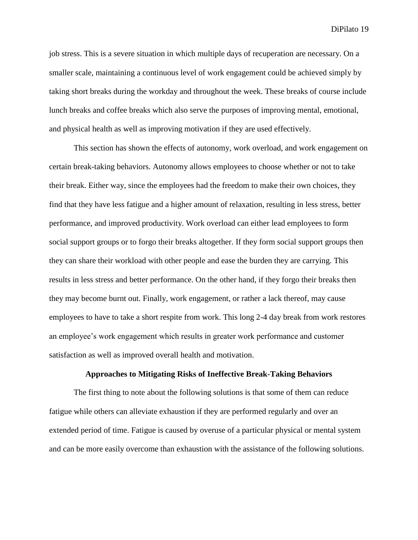job stress. This is a severe situation in which multiple days of recuperation are necessary. On a smaller scale, maintaining a continuous level of work engagement could be achieved simply by taking short breaks during the workday and throughout the week. These breaks of course include lunch breaks and coffee breaks which also serve the purposes of improving mental, emotional, and physical health as well as improving motivation if they are used effectively.

This section has shown the effects of autonomy, work overload, and work engagement on certain break-taking behaviors. Autonomy allows employees to choose whether or not to take their break. Either way, since the employees had the freedom to make their own choices, they find that they have less fatigue and a higher amount of relaxation, resulting in less stress, better performance, and improved productivity. Work overload can either lead employees to form social support groups or to forgo their breaks altogether. If they form social support groups then they can share their workload with other people and ease the burden they are carrying. This results in less stress and better performance. On the other hand, if they forgo their breaks then they may become burnt out. Finally, work engagement, or rather a lack thereof, may cause employees to have to take a short respite from work. This long 2-4 day break from work restores an employee's work engagement which results in greater work performance and customer satisfaction as well as improved overall health and motivation.

#### **Approaches to Mitigating Risks of Ineffective Break-Taking Behaviors**

The first thing to note about the following solutions is that some of them can reduce fatigue while others can alleviate exhaustion if they are performed regularly and over an extended period of time. Fatigue is caused by overuse of a particular physical or mental system and can be more easily overcome than exhaustion with the assistance of the following solutions.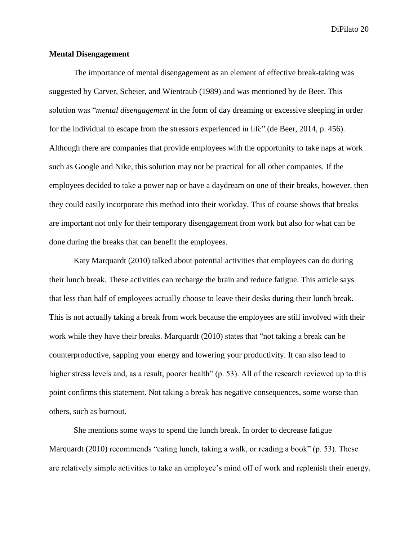#### **Mental Disengagement**

The importance of mental disengagement as an element of effective break-taking was suggested by Carver, Scheier, and Wientraub (1989) and was mentioned by de Beer. This solution was "*mental disengagement* in the form of day dreaming or excessive sleeping in order for the individual to escape from the stressors experienced in life" (de Beer, 2014, p. 456). Although there are companies that provide employees with the opportunity to take naps at work such as Google and Nike, this solution may not be practical for all other companies. If the employees decided to take a power nap or have a daydream on one of their breaks, however, then they could easily incorporate this method into their workday. This of course shows that breaks are important not only for their temporary disengagement from work but also for what can be done during the breaks that can benefit the employees.

Katy Marquardt (2010) talked about potential activities that employees can do during their lunch break. These activities can recharge the brain and reduce fatigue. This article says that less than half of employees actually choose to leave their desks during their lunch break. This is not actually taking a break from work because the employees are still involved with their work while they have their breaks. Marquardt (2010) states that "not taking a break can be counterproductive, sapping your energy and lowering your productivity. It can also lead to higher stress levels and, as a result, poorer health" (p. 53). All of the research reviewed up to this point confirms this statement. Not taking a break has negative consequences, some worse than others, such as burnout.

She mentions some ways to spend the lunch break. In order to decrease fatigue Marquardt (2010) recommends "eating lunch, taking a walk, or reading a book" (p. 53). These are relatively simple activities to take an employee's mind off of work and replenish their energy.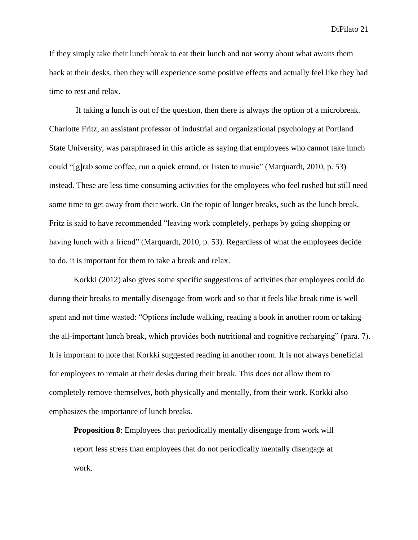If they simply take their lunch break to eat their lunch and not worry about what awaits them back at their desks, then they will experience some positive effects and actually feel like they had time to rest and relax.

If taking a lunch is out of the question, then there is always the option of a microbreak. Charlotte Fritz, an assistant professor of industrial and organizational psychology at Portland State University, was paraphrased in this article as saying that employees who cannot take lunch could "[g]rab some coffee, run a quick errand, or listen to music" (Marquardt, 2010, p. 53) instead. These are less time consuming activities for the employees who feel rushed but still need some time to get away from their work. On the topic of longer breaks, such as the lunch break, Fritz is said to have recommended "leaving work completely, perhaps by going shopping or having lunch with a friend" (Marquardt, 2010, p. 53). Regardless of what the employees decide to do, it is important for them to take a break and relax.

Korkki (2012) also gives some specific suggestions of activities that employees could do during their breaks to mentally disengage from work and so that it feels like break time is well spent and not time wasted: "Options include walking, reading a book in another room or taking the all-important lunch break, which provides both nutritional and cognitive recharging" (para. 7). It is important to note that Korkki suggested reading in another room. It is not always beneficial for employees to remain at their desks during their break. This does not allow them to completely remove themselves, both physically and mentally, from their work. Korkki also emphasizes the importance of lunch breaks.

**Proposition 8:** Employees that periodically mentally disengage from work will report less stress than employees that do not periodically mentally disengage at work.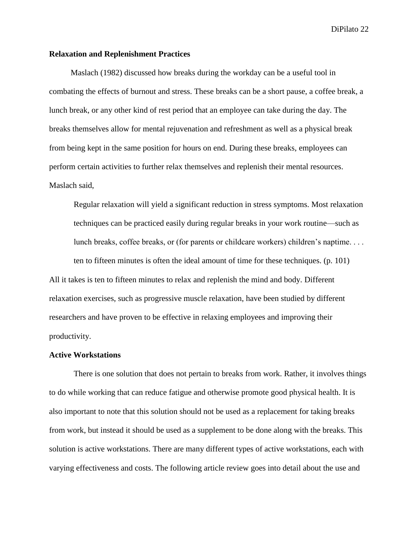#### **Relaxation and Replenishment Practices**

Maslach (1982) discussed how breaks during the workday can be a useful tool in combating the effects of burnout and stress. These breaks can be a short pause, a coffee break, a lunch break, or any other kind of rest period that an employee can take during the day. The breaks themselves allow for mental rejuvenation and refreshment as well as a physical break from being kept in the same position for hours on end. During these breaks, employees can perform certain activities to further relax themselves and replenish their mental resources. Maslach said,

Regular relaxation will yield a significant reduction in stress symptoms. Most relaxation techniques can be practiced easily during regular breaks in your work routine—such as lunch breaks, coffee breaks, or (for parents or childcare workers) children's naptime. . . . ten to fifteen minutes is often the ideal amount of time for these techniques. (p. 101) All it takes is ten to fifteen minutes to relax and replenish the mind and body. Different relaxation exercises, such as progressive muscle relaxation, have been studied by different researchers and have proven to be effective in relaxing employees and improving their productivity.

#### **Active Workstations**

There is one solution that does not pertain to breaks from work. Rather, it involves things to do while working that can reduce fatigue and otherwise promote good physical health. It is also important to note that this solution should not be used as a replacement for taking breaks from work, but instead it should be used as a supplement to be done along with the breaks. This solution is active workstations. There are many different types of active workstations, each with varying effectiveness and costs. The following article review goes into detail about the use and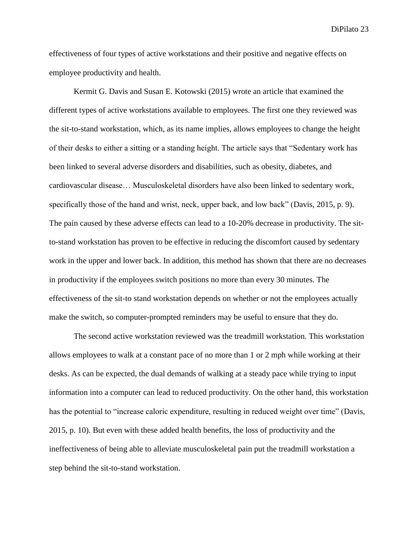effectiveness of four types of active workstations and their positive and negative effects on employee productivity and health.

Kermit G. Davis and Susan E. Kotowski (2015) wrote an article that examined the different types of active workstations available to employees. The first one they reviewed was the sit-to-stand workstation, which, as its name implies, allows employees to change the height of their desks to either a sitting or a standing height. The article says that "Sedentary work has been linked to several adverse disorders and disabilities, such as obesity, diabetes, and cardiovascular disease… Musculoskeletal disorders have also been linked to sedentary work, specifically those of the hand and wrist, neck, upper back, and low back" (Davis, 2015, p. 9). The pain caused by these adverse effects can lead to a 10-20% decrease in productivity. The sitto-stand workstation has proven to be effective in reducing the discomfort caused by sedentary work in the upper and lower back. In addition, this method has shown that there are no decreases in productivity if the employees switch positions no more than every 30 minutes. The effectiveness of the sit-to stand workstation depends on whether or not the employees actually make the switch, so computer-prompted reminders may be useful to ensure that they do.

The second active workstation reviewed was the treadmill workstation. This workstation allows employees to walk at a constant pace of no more than 1 or 2 mph while working at their desks. As can be expected, the dual demands of walking at a steady pace while trying to input information into a computer can lead to reduced productivity. On the other hand, this workstation has the potential to "increase caloric expenditure, resulting in reduced weight over time" (Davis, 2015, p. 10). But even with these added health benefits, the loss of productivity and the ineffectiveness of being able to alleviate musculoskeletal pain put the treadmill workstation a step behind the sit-to-stand workstation.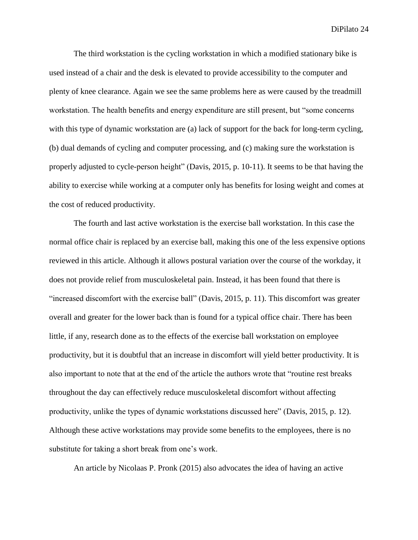The third workstation is the cycling workstation in which a modified stationary bike is used instead of a chair and the desk is elevated to provide accessibility to the computer and plenty of knee clearance. Again we see the same problems here as were caused by the treadmill workstation. The health benefits and energy expenditure are still present, but "some concerns" with this type of dynamic workstation are (a) lack of support for the back for long-term cycling, (b) dual demands of cycling and computer processing, and (c) making sure the workstation is properly adjusted to cycle-person height" (Davis, 2015, p. 10-11). It seems to be that having the ability to exercise while working at a computer only has benefits for losing weight and comes at the cost of reduced productivity.

The fourth and last active workstation is the exercise ball workstation. In this case the normal office chair is replaced by an exercise ball, making this one of the less expensive options reviewed in this article. Although it allows postural variation over the course of the workday, it does not provide relief from musculoskeletal pain. Instead, it has been found that there is "increased discomfort with the exercise ball" (Davis, 2015, p. 11). This discomfort was greater overall and greater for the lower back than is found for a typical office chair. There has been little, if any, research done as to the effects of the exercise ball workstation on employee productivity, but it is doubtful that an increase in discomfort will yield better productivity. It is also important to note that at the end of the article the authors wrote that "routine rest breaks throughout the day can effectively reduce musculoskeletal discomfort without affecting productivity, unlike the types of dynamic workstations discussed here" (Davis, 2015, p. 12). Although these active workstations may provide some benefits to the employees, there is no substitute for taking a short break from one's work.

An article by Nicolaas P. Pronk (2015) also advocates the idea of having an active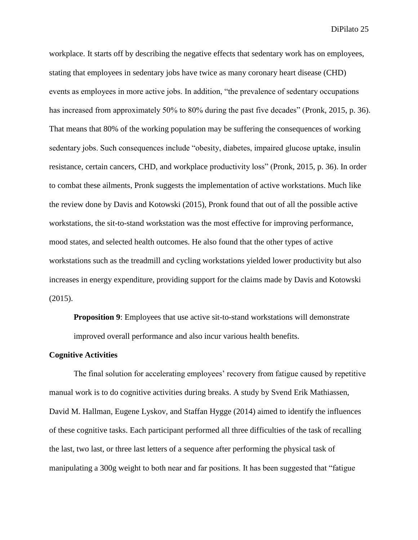workplace. It starts off by describing the negative effects that sedentary work has on employees, stating that employees in sedentary jobs have twice as many coronary heart disease (CHD) events as employees in more active jobs. In addition, "the prevalence of sedentary occupations has increased from approximately 50% to 80% during the past five decades" (Pronk, 2015, p. 36). That means that 80% of the working population may be suffering the consequences of working sedentary jobs. Such consequences include "obesity, diabetes, impaired glucose uptake, insulin resistance, certain cancers, CHD, and workplace productivity loss" (Pronk, 2015, p. 36). In order to combat these ailments, Pronk suggests the implementation of active workstations. Much like the review done by Davis and Kotowski (2015), Pronk found that out of all the possible active workstations, the sit-to-stand workstation was the most effective for improving performance, mood states, and selected health outcomes. He also found that the other types of active workstations such as the treadmill and cycling workstations yielded lower productivity but also increases in energy expenditure, providing support for the claims made by Davis and Kotowski (2015).

**Proposition 9:** Employees that use active sit-to-stand workstations will demonstrate improved overall performance and also incur various health benefits.

#### **Cognitive Activities**

The final solution for accelerating employees' recovery from fatigue caused by repetitive manual work is to do cognitive activities during breaks. A study by Svend Erik Mathiassen, David M. Hallman, Eugene Lyskov, and Staffan Hygge (2014) aimed to identify the influences of these cognitive tasks. Each participant performed all three difficulties of the task of recalling the last, two last, or three last letters of a sequence after performing the physical task of manipulating a 300g weight to both near and far positions. It has been suggested that "fatigue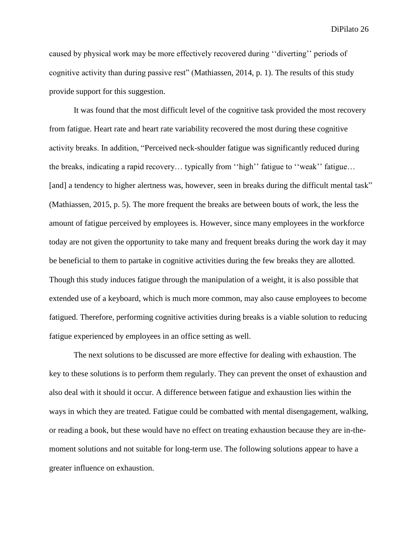caused by physical work may be more effectively recovered during ''diverting'' periods of cognitive activity than during passive rest" (Mathiassen, 2014, p. 1). The results of this study provide support for this suggestion.

It was found that the most difficult level of the cognitive task provided the most recovery from fatigue. Heart rate and heart rate variability recovered the most during these cognitive activity breaks. In addition, "Perceived neck-shoulder fatigue was significantly reduced during the breaks, indicating a rapid recovery… typically from ''high'' fatigue to ''weak'' fatigue… [and] a tendency to higher alertness was, however, seen in breaks during the difficult mental task" (Mathiassen, 2015, p. 5). The more frequent the breaks are between bouts of work, the less the amount of fatigue perceived by employees is. However, since many employees in the workforce today are not given the opportunity to take many and frequent breaks during the work day it may be beneficial to them to partake in cognitive activities during the few breaks they are allotted. Though this study induces fatigue through the manipulation of a weight, it is also possible that extended use of a keyboard, which is much more common, may also cause employees to become fatigued. Therefore, performing cognitive activities during breaks is a viable solution to reducing fatigue experienced by employees in an office setting as well.

The next solutions to be discussed are more effective for dealing with exhaustion. The key to these solutions is to perform them regularly. They can prevent the onset of exhaustion and also deal with it should it occur. A difference between fatigue and exhaustion lies within the ways in which they are treated. Fatigue could be combatted with mental disengagement, walking, or reading a book, but these would have no effect on treating exhaustion because they are in-themoment solutions and not suitable for long-term use. The following solutions appear to have a greater influence on exhaustion.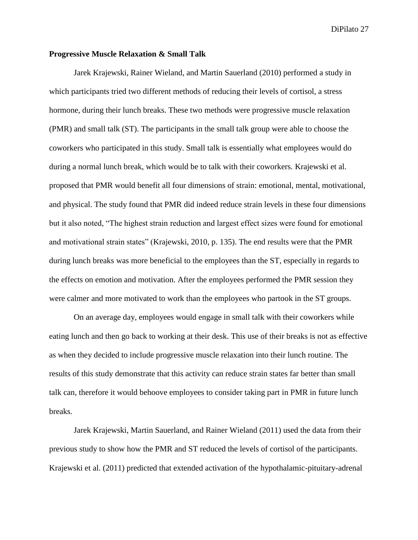#### **Progressive Muscle Relaxation & Small Talk**

Jarek Krajewski, Rainer Wieland, and Martin Sauerland (2010) performed a study in which participants tried two different methods of reducing their levels of cortisol, a stress hormone, during their lunch breaks. These two methods were progressive muscle relaxation (PMR) and small talk (ST). The participants in the small talk group were able to choose the coworkers who participated in this study. Small talk is essentially what employees would do during a normal lunch break, which would be to talk with their coworkers. Krajewski et al. proposed that PMR would benefit all four dimensions of strain: emotional, mental, motivational, and physical. The study found that PMR did indeed reduce strain levels in these four dimensions but it also noted, "The highest strain reduction and largest effect sizes were found for emotional and motivational strain states" (Krajewski, 2010, p. 135). The end results were that the PMR during lunch breaks was more beneficial to the employees than the ST, especially in regards to the effects on emotion and motivation. After the employees performed the PMR session they were calmer and more motivated to work than the employees who partook in the ST groups.

On an average day, employees would engage in small talk with their coworkers while eating lunch and then go back to working at their desk. This use of their breaks is not as effective as when they decided to include progressive muscle relaxation into their lunch routine. The results of this study demonstrate that this activity can reduce strain states far better than small talk can, therefore it would behoove employees to consider taking part in PMR in future lunch breaks.

Jarek Krajewski, Martin Sauerland, and Rainer Wieland (2011) used the data from their previous study to show how the PMR and ST reduced the levels of cortisol of the participants. Krajewski et al. (2011) predicted that extended activation of the hypothalamic-pituitary-adrenal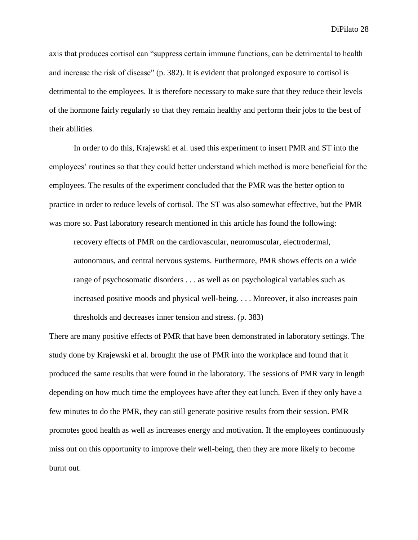axis that produces cortisol can "suppress certain immune functions, can be detrimental to health and increase the risk of disease" (p. 382). It is evident that prolonged exposure to cortisol is detrimental to the employees. It is therefore necessary to make sure that they reduce their levels of the hormone fairly regularly so that they remain healthy and perform their jobs to the best of their abilities.

In order to do this, Krajewski et al. used this experiment to insert PMR and ST into the employees' routines so that they could better understand which method is more beneficial for the employees. The results of the experiment concluded that the PMR was the better option to practice in order to reduce levels of cortisol. The ST was also somewhat effective, but the PMR was more so. Past laboratory research mentioned in this article has found the following:

recovery effects of PMR on the cardiovascular, neuromuscular, electrodermal, autonomous, and central nervous systems. Furthermore, PMR shows effects on a wide range of psychosomatic disorders . . . as well as on psychological variables such as increased positive moods and physical well-being. . . . Moreover, it also increases pain thresholds and decreases inner tension and stress. (p. 383)

There are many positive effects of PMR that have been demonstrated in laboratory settings. The study done by Krajewski et al. brought the use of PMR into the workplace and found that it produced the same results that were found in the laboratory. The sessions of PMR vary in length depending on how much time the employees have after they eat lunch. Even if they only have a few minutes to do the PMR, they can still generate positive results from their session. PMR promotes good health as well as increases energy and motivation. If the employees continuously miss out on this opportunity to improve their well-being, then they are more likely to become burnt out.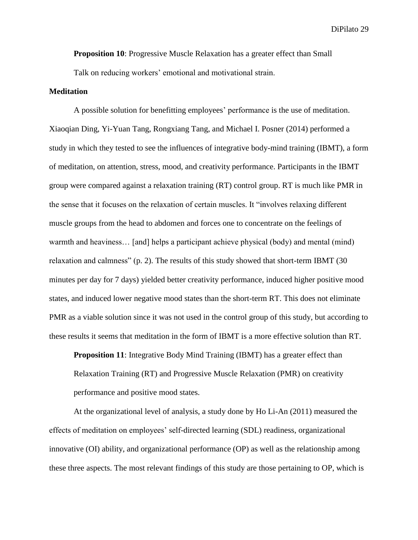**Proposition 10**: Progressive Muscle Relaxation has a greater effect than Small Talk on reducing workers' emotional and motivational strain.

#### **Meditation**

A possible solution for benefitting employees' performance is the use of meditation. Xiaoqian Ding, Yi-Yuan Tang, Rongxiang Tang, and Michael I. Posner (2014) performed a study in which they tested to see the influences of integrative body-mind training (IBMT), a form of meditation, on attention, stress, mood, and creativity performance. Participants in the IBMT group were compared against a relaxation training (RT) control group. RT is much like PMR in the sense that it focuses on the relaxation of certain muscles. It "involves relaxing different muscle groups from the head to abdomen and forces one to concentrate on the feelings of warmth and heaviness… [and] helps a participant achieve physical (body) and mental (mind) relaxation and calmness" (p. 2). The results of this study showed that short-term IBMT (30 minutes per day for 7 days) yielded better creativity performance, induced higher positive mood states, and induced lower negative mood states than the short-term RT. This does not eliminate PMR as a viable solution since it was not used in the control group of this study, but according to these results it seems that meditation in the form of IBMT is a more effective solution than RT.

**Proposition 11**: Integrative Body Mind Training (IBMT) has a greater effect than Relaxation Training (RT) and Progressive Muscle Relaxation (PMR) on creativity performance and positive mood states.

At the organizational level of analysis, a study done by Ho Li-An (2011) measured the effects of meditation on employees' self-directed learning (SDL) readiness, organizational innovative (OI) ability, and organizational performance (OP) as well as the relationship among these three aspects. The most relevant findings of this study are those pertaining to OP, which is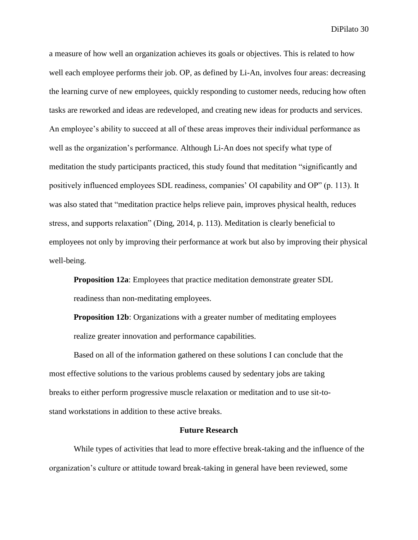a measure of how well an organization achieves its goals or objectives. This is related to how well each employee performs their job. OP, as defined by Li-An, involves four areas: decreasing the learning curve of new employees, quickly responding to customer needs, reducing how often tasks are reworked and ideas are redeveloped, and creating new ideas for products and services. An employee's ability to succeed at all of these areas improves their individual performance as well as the organization's performance. Although Li-An does not specify what type of meditation the study participants practiced, this study found that meditation "significantly and positively influenced employees SDL readiness, companies' OI capability and OP" (p. 113). It was also stated that "meditation practice helps relieve pain, improves physical health, reduces stress, and supports relaxation" (Ding, 2014, p. 113). Meditation is clearly beneficial to employees not only by improving their performance at work but also by improving their physical well-being.

**Proposition 12a**: Employees that practice meditation demonstrate greater SDL readiness than non-meditating employees.

**Proposition 12b:** Organizations with a greater number of meditating employees realize greater innovation and performance capabilities.

Based on all of the information gathered on these solutions I can conclude that the most effective solutions to the various problems caused by sedentary jobs are taking breaks to either perform progressive muscle relaxation or meditation and to use sit-tostand workstations in addition to these active breaks.

#### **Future Research**

While types of activities that lead to more effective break-taking and the influence of the organization's culture or attitude toward break-taking in general have been reviewed, some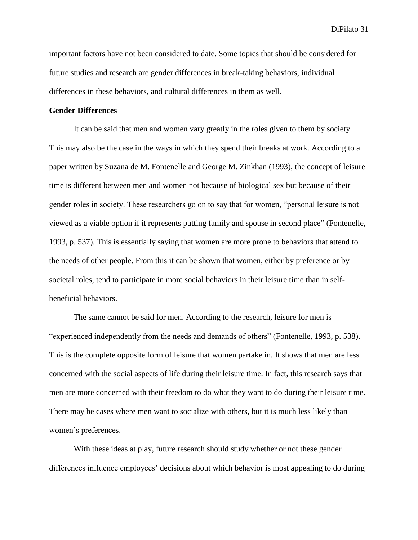important factors have not been considered to date. Some topics that should be considered for future studies and research are gender differences in break-taking behaviors, individual differences in these behaviors, and cultural differences in them as well.

#### **Gender Differences**

It can be said that men and women vary greatly in the roles given to them by society. This may also be the case in the ways in which they spend their breaks at work. According to a paper written by Suzana de M. Fontenelle and George M. Zinkhan (1993), the concept of leisure time is different between men and women not because of biological sex but because of their gender roles in society. These researchers go on to say that for women, "personal leisure is not viewed as a viable option if it represents putting family and spouse in second place" (Fontenelle, 1993, p. 537). This is essentially saying that women are more prone to behaviors that attend to the needs of other people. From this it can be shown that women, either by preference or by societal roles, tend to participate in more social behaviors in their leisure time than in selfbeneficial behaviors.

The same cannot be said for men. According to the research, leisure for men is "experienced independently from the needs and demands of others" (Fontenelle, 1993, p. 538). This is the complete opposite form of leisure that women partake in. It shows that men are less concerned with the social aspects of life during their leisure time. In fact, this research says that men are more concerned with their freedom to do what they want to do during their leisure time. There may be cases where men want to socialize with others, but it is much less likely than women's preferences.

With these ideas at play, future research should study whether or not these gender differences influence employees' decisions about which behavior is most appealing to do during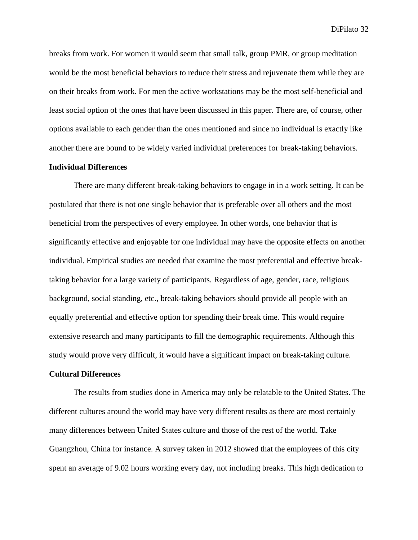breaks from work. For women it would seem that small talk, group PMR, or group meditation would be the most beneficial behaviors to reduce their stress and rejuvenate them while they are on their breaks from work. For men the active workstations may be the most self-beneficial and least social option of the ones that have been discussed in this paper. There are, of course, other options available to each gender than the ones mentioned and since no individual is exactly like another there are bound to be widely varied individual preferences for break-taking behaviors.

#### **Individual Differences**

There are many different break-taking behaviors to engage in in a work setting. It can be postulated that there is not one single behavior that is preferable over all others and the most beneficial from the perspectives of every employee. In other words, one behavior that is significantly effective and enjoyable for one individual may have the opposite effects on another individual. Empirical studies are needed that examine the most preferential and effective breaktaking behavior for a large variety of participants. Regardless of age, gender, race, religious background, social standing, etc., break-taking behaviors should provide all people with an equally preferential and effective option for spending their break time. This would require extensive research and many participants to fill the demographic requirements. Although this study would prove very difficult, it would have a significant impact on break-taking culture.

#### **Cultural Differences**

The results from studies done in America may only be relatable to the United States. The different cultures around the world may have very different results as there are most certainly many differences between United States culture and those of the rest of the world. Take Guangzhou, China for instance. A survey taken in 2012 showed that the employees of this city spent an average of 9.02 hours working every day, not including breaks. This high dedication to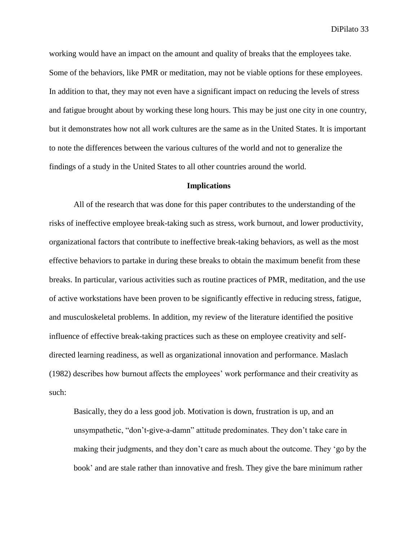working would have an impact on the amount and quality of breaks that the employees take. Some of the behaviors, like PMR or meditation, may not be viable options for these employees. In addition to that, they may not even have a significant impact on reducing the levels of stress and fatigue brought about by working these long hours. This may be just one city in one country, but it demonstrates how not all work cultures are the same as in the United States. It is important to note the differences between the various cultures of the world and not to generalize the findings of a study in the United States to all other countries around the world.

#### **Implications**

All of the research that was done for this paper contributes to the understanding of the risks of ineffective employee break-taking such as stress, work burnout, and lower productivity, organizational factors that contribute to ineffective break-taking behaviors, as well as the most effective behaviors to partake in during these breaks to obtain the maximum benefit from these breaks. In particular, various activities such as routine practices of PMR, meditation, and the use of active workstations have been proven to be significantly effective in reducing stress, fatigue, and musculoskeletal problems. In addition, my review of the literature identified the positive influence of effective break-taking practices such as these on employee creativity and selfdirected learning readiness, as well as organizational innovation and performance. Maslach (1982) describes how burnout affects the employees' work performance and their creativity as such:

Basically, they do a less good job. Motivation is down, frustration is up, and an unsympathetic, "don't-give-a-damn" attitude predominates. They don't take care in making their judgments, and they don't care as much about the outcome. They 'go by the book' and are stale rather than innovative and fresh. They give the bare minimum rather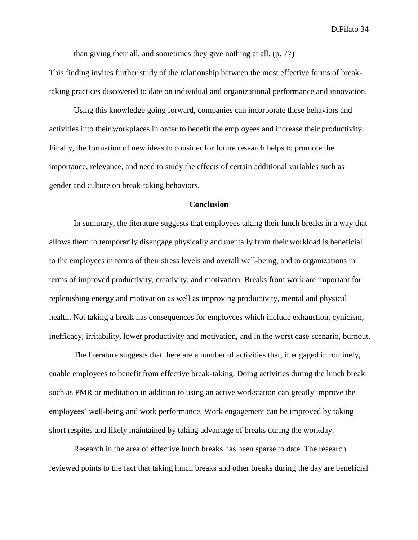than giving their all, and sometimes they give nothing at all. (p. 77)

This finding invites further study of the relationship between the most effective forms of breaktaking practices discovered to date on individual and organizational performance and innovation.

Using this knowledge going forward, companies can incorporate these behaviors and activities into their workplaces in order to benefit the employees and increase their productivity. Finally, the formation of new ideas to consider for future research helps to promote the importance, relevance, and need to study the effects of certain additional variables such as gender and culture on break-taking behaviors.

### **Conclusion**

In summary, the literature suggests that employees taking their lunch breaks in a way that allows them to temporarily disengage physically and mentally from their workload is beneficial to the employees in terms of their stress levels and overall well-being, and to organizations in terms of improved productivity, creativity, and motivation. Breaks from work are important for replenishing energy and motivation as well as improving productivity, mental and physical health. Not taking a break has consequences for employees which include exhaustion, cynicism, inefficacy, irritability, lower productivity and motivation, and in the worst case scenario, burnout.

The literature suggests that there are a number of activities that, if engaged in routinely, enable employees to benefit from effective break-taking. Doing activities during the lunch break such as PMR or meditation in addition to using an active workstation can greatly improve the employees' well-being and work performance. Work engagement can be improved by taking short respites and likely maintained by taking advantage of breaks during the workday.

Research in the area of effective lunch breaks has been sparse to date. The research reviewed points to the fact that taking lunch breaks and other breaks during the day are beneficial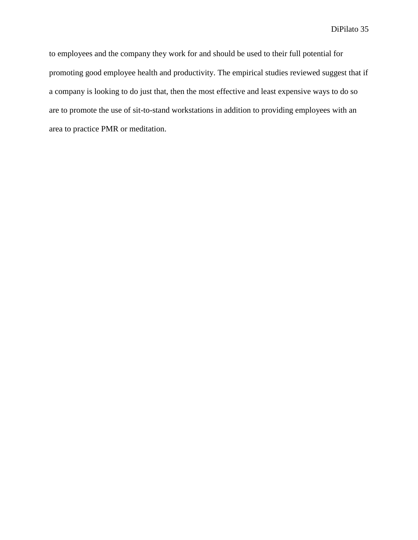to employees and the company they work for and should be used to their full potential for promoting good employee health and productivity. The empirical studies reviewed suggest that if a company is looking to do just that, then the most effective and least expensive ways to do so are to promote the use of sit-to-stand workstations in addition to providing employees with an area to practice PMR or meditation.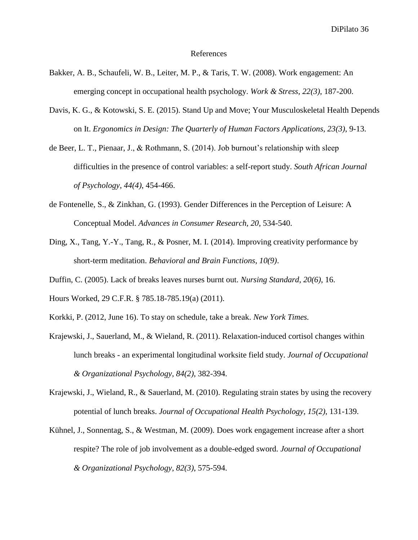#### References

- Bakker, A. B., Schaufeli, W. B., Leiter, M. P., & Taris, T. W. (2008). Work engagement: An emerging concept in occupational health psychology. *Work & Stress*, *22(3)*, 187-200.
- Davis, K. G., & Kotowski, S. E. (2015). Stand Up and Move; Your Musculoskeletal Health Depends on It. *Ergonomics in Design: The Quarterly of Human Factors Applications, 23(3)*, 9-13.
- de Beer, L. T., Pienaar, J., & Rothmann, S. (2014). Job burnout's relationship with sleep difficulties in the presence of control variables: a self-report study. *South African Journal of Psychology*, *44(4)*, 454-466.
- de Fontenelle, S., & Zinkhan, G. (1993). Gender Differences in the Perception of Leisure: A Conceptual Model. *Advances in Consumer Research, 20*, 534-540.
- Ding, X., Tang, Y.-Y., Tang, R., & Posner, M. I. (2014). Improving creativity performance by short-term meditation. *Behavioral and Brain Functions*, *10(9)*.
- Duffin, C. (2005). Lack of breaks leaves nurses burnt out. *Nursing Standard*, *20(6)*, 16.
- Hours Worked, 29 C.F.R. § 785.18-785.19(a) (2011).
- Korkki, P. (2012, June 16). To stay on schedule, take a break. *New York Times.*
- Krajewski, J., Sauerland, M., & Wieland, R. (2011). Relaxation-induced cortisol changes within lunch breaks - an experimental longitudinal worksite field study. *Journal of Occupational & Organizational Psychology*, *84(2)*, 382-394.
- Krajewski, J., Wieland, R., & Sauerland, M. (2010). Regulating strain states by using the recovery potential of lunch breaks. *Journal of Occupational Health Psychology*, *15(2)*, 131-139.
- Kühnel, J., Sonnentag, S., & Westman, M. (2009). Does work engagement increase after a short respite? The role of job involvement as a double-edged sword. *Journal of Occupational & Organizational Psychology*, *82(3)*, 575-594.